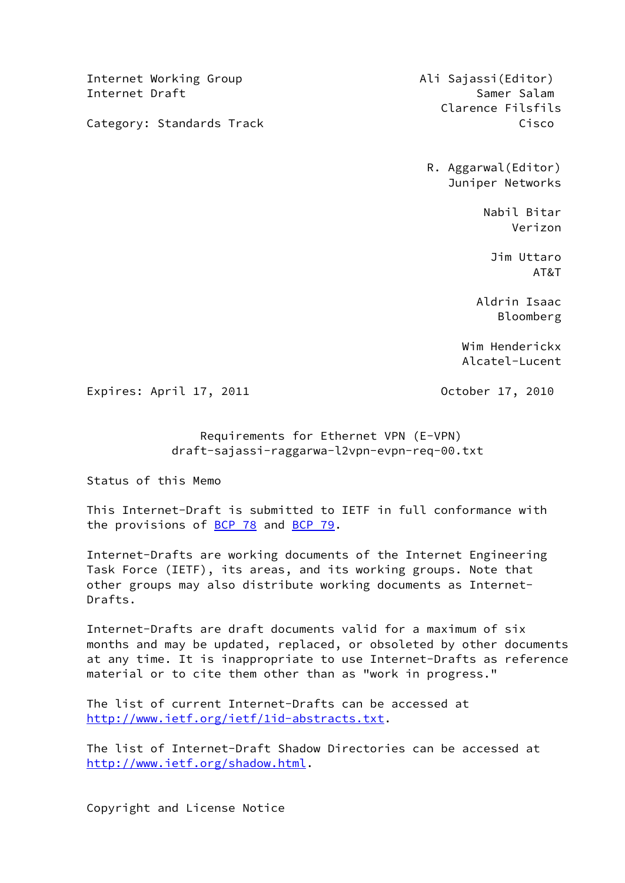Internet Working Group **Ali Sajassi**(Editor) Internet Draft Samer Salam Samer Salam Samer Salam Samer Salam Samer Salam Samer Salam Samer Salam Samer Salam

Category: Standards Track Cisco Cisco

Clarence Filsfils

 R. Aggarwal(Editor) Juniper Networks

 Nabil Bitar Verizon

 Jim Uttaro AT&T

> Aldrin Isaac Bloomberg

 Wim Henderickx Alcatel-Lucent

Expires: April 17, 2011 October 17, 2010

 Requirements for Ethernet VPN (E-VPN) draft-sajassi-raggarwa-l2vpn-evpn-req-00.txt

Status of this Memo

 This Internet-Draft is submitted to IETF in full conformance with the provisions of [BCP 78](https://datatracker.ietf.org/doc/pdf/bcp78) and [BCP 79](https://datatracker.ietf.org/doc/pdf/bcp79).

 Internet-Drafts are working documents of the Internet Engineering Task Force (IETF), its areas, and its working groups. Note that other groups may also distribute working documents as Internet- Drafts.

 Internet-Drafts are draft documents valid for a maximum of six months and may be updated, replaced, or obsoleted by other documents at any time. It is inappropriate to use Internet-Drafts as reference material or to cite them other than as "work in progress."

 The list of current Internet-Drafts can be accessed at <http://www.ietf.org/ietf/1id-abstracts.txt>.

 The list of Internet-Draft Shadow Directories can be accessed at <http://www.ietf.org/shadow.html>.

Copyright and License Notice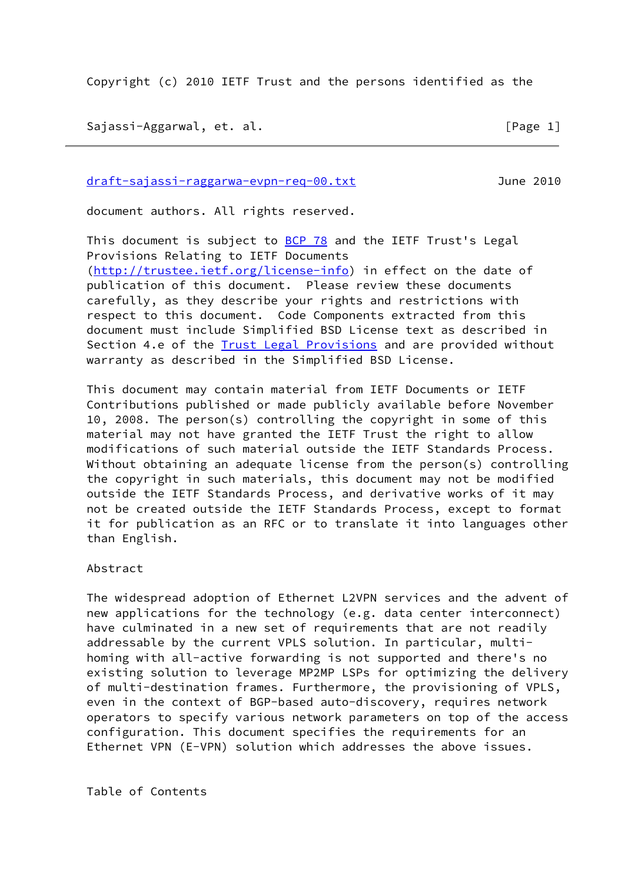Copyright (c) 2010 IETF Trust and the persons identified as the

Sajassi-Aggarwal, et. al. [Page 1]

[draft-sajassi-raggarwa-evpn-req-00.txt](https://datatracker.ietf.org/doc/pdf/draft-sajassi-raggarwa-evpn-req-00.txt) June 2010

document authors. All rights reserved.

This document is subject to [BCP 78](https://datatracker.ietf.org/doc/pdf/bcp78) and the IETF Trust's Legal Provisions Relating to IETF Documents [\(http://trustee.ietf.org/license-info](http://trustee.ietf.org/license-info)) in effect on the date of publication of this document. Please review these documents carefully, as they describe your rights and restrictions with respect to this document. Code Components extracted from this document must include Simplified BSD License text as described in Section 4.e of the [Trust Legal Provisions](https://trustee.ietf.org/license-info) and are provided without warranty as described in the Simplified BSD License.

 This document may contain material from IETF Documents or IETF Contributions published or made publicly available before November 10, 2008. The person(s) controlling the copyright in some of this material may not have granted the IETF Trust the right to allow modifications of such material outside the IETF Standards Process. Without obtaining an adequate license from the person(s) controlling the copyright in such materials, this document may not be modified outside the IETF Standards Process, and derivative works of it may not be created outside the IETF Standards Process, except to format it for publication as an RFC or to translate it into languages other than English.

Abstract

 The widespread adoption of Ethernet L2VPN services and the advent of new applications for the technology (e.g. data center interconnect) have culminated in a new set of requirements that are not readily addressable by the current VPLS solution. In particular, multi homing with all-active forwarding is not supported and there's no existing solution to leverage MP2MP LSPs for optimizing the delivery of multi-destination frames. Furthermore, the provisioning of VPLS, even in the context of BGP-based auto-discovery, requires network operators to specify various network parameters on top of the access configuration. This document specifies the requirements for an Ethernet VPN (E-VPN) solution which addresses the above issues.

Table of Contents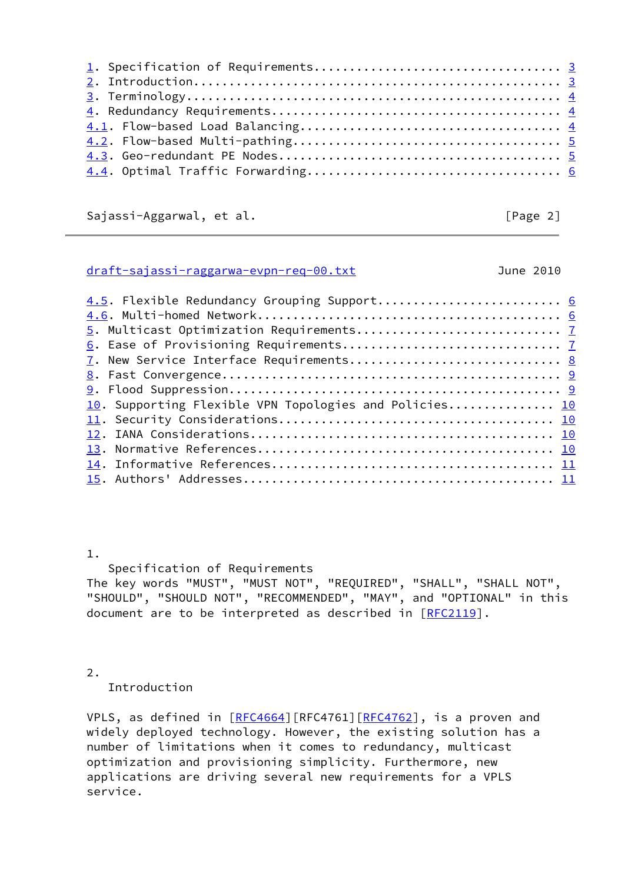Sajassi-Aggarwal, et al. [Page 2]

### <span id="page-2-0"></span>[draft-sajassi-raggarwa-evpn-req-00.txt](https://datatracker.ietf.org/doc/pdf/draft-sajassi-raggarwa-evpn-req-00.txt) June 2010

| 4.5. Flexible Redundancy Grouping Support 6            |  |
|--------------------------------------------------------|--|
|                                                        |  |
|                                                        |  |
|                                                        |  |
| 7. New Service Interface Requirements 8                |  |
|                                                        |  |
|                                                        |  |
| 10. Supporting Flexible VPN Topologies and Policies 10 |  |
|                                                        |  |
|                                                        |  |
|                                                        |  |
|                                                        |  |
|                                                        |  |
|                                                        |  |

# 1.

Specification of Requirements

 The key words "MUST", "MUST NOT", "REQUIRED", "SHALL", "SHALL NOT", "SHOULD", "SHOULD NOT", "RECOMMENDED", "MAY", and "OPTIONAL" in this document are to be interpreted as described in [\[RFC2119](https://datatracker.ietf.org/doc/pdf/rfc2119)].

2.

Introduction

VPLS, as defined in [\[RFC4664](https://datatracker.ietf.org/doc/pdf/rfc4664)][RFC4761][[RFC4762](https://datatracker.ietf.org/doc/pdf/rfc4762)], is a proven and widely deployed technology. However, the existing solution has a number of limitations when it comes to redundancy, multicast optimization and provisioning simplicity. Furthermore, new applications are driving several new requirements for a VPLS service.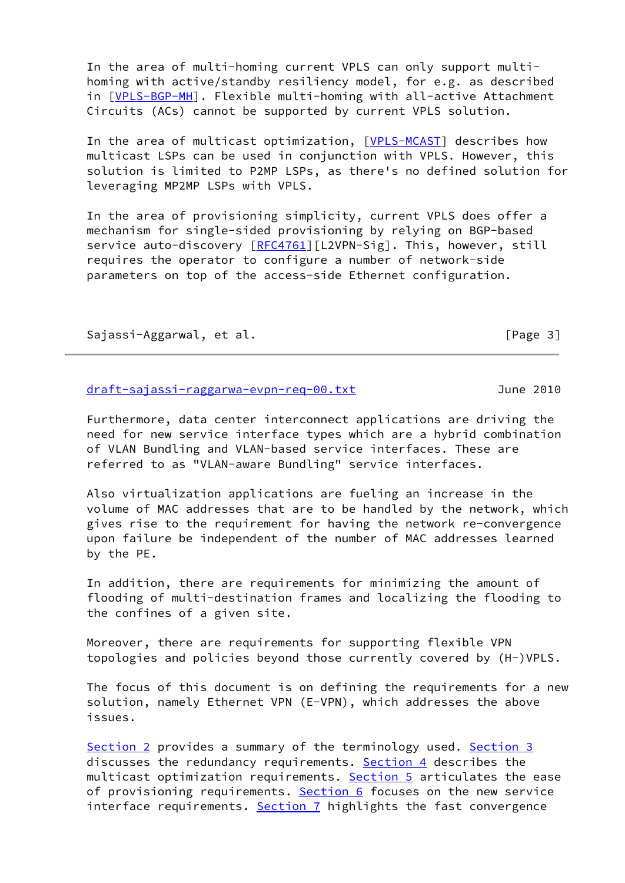In the area of multi-homing current VPLS can only support multi homing with active/standby resiliency model, for e.g. as described in [[VPLS-BGP-MH\]](#page-11-1). Flexible multi-homing with all-active Attachment Circuits (ACs) cannot be supported by current VPLS solution.

 In the area of multicast optimization, [\[VPLS-MCAST](#page-11-2)] describes how multicast LSPs can be used in conjunction with VPLS. However, this solution is limited to P2MP LSPs, as there's no defined solution for leveraging MP2MP LSPs with VPLS.

 In the area of provisioning simplicity, current VPLS does offer a mechanism for single-sided provisioning by relying on BGP-based service auto-discovery [\[RFC4761](https://datatracker.ietf.org/doc/pdf/rfc4761)][L2VPN-Sig]. This, however, still requires the operator to configure a number of network-side parameters on top of the access-side Ethernet configuration.

Sajassi-Aggarwal, et al. [Page 3]

## <span id="page-3-0"></span>[draft-sajassi-raggarwa-evpn-req-00.txt](https://datatracker.ietf.org/doc/pdf/draft-sajassi-raggarwa-evpn-req-00.txt) June 2010

 Furthermore, data center interconnect applications are driving the need for new service interface types which are a hybrid combination of VLAN Bundling and VLAN-based service interfaces. These are referred to as "VLAN-aware Bundling" service interfaces.

 Also virtualization applications are fueling an increase in the volume of MAC addresses that are to be handled by the network, which gives rise to the requirement for having the network re-convergence upon failure be independent of the number of MAC addresses learned by the PE.

 In addition, there are requirements for minimizing the amount of flooding of multi-destination frames and localizing the flooding to the confines of a given site.

 Moreover, there are requirements for supporting flexible VPN topologies and policies beyond those currently covered by (H-)VPLS.

 The focus of this document is on defining the requirements for a new solution, namely Ethernet VPN (E-VPN), which addresses the above issues.

Section 2 provides a summary of the terminology used. Section 3 discusses the redundancy requirements. Section 4 describes the multicast optimization requirements. Section 5 articulates the ease of provisioning requirements. Section 6 focuses on the new service interface requirements. Section 7 highlights the fast convergence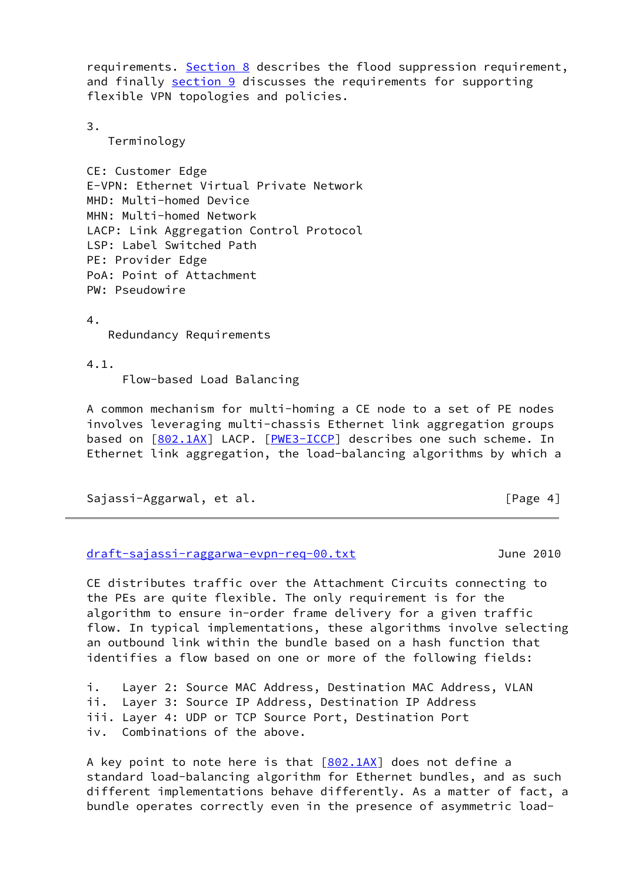requirements. Section 8 describes the flood suppression requirement, and finally section 9 discusses the requirements for supporting flexible VPN topologies and policies.

3.

Terminology

 CE: Customer Edge E-VPN: Ethernet Virtual Private Network MHD: Multi-homed Device MHN: Multi-homed Network LACP: Link Aggregation Control Protocol LSP: Label Switched Path PE: Provider Edge PoA: Point of Attachment PW: Pseudowire

4.

Redundancy Requirements

4.1.

Flow-based Load Balancing

 A common mechanism for multi-homing a CE node to a set of PE nodes involves leveraging multi-chassis Ethernet link aggregation groups based on [\[802.1AX](#page-11-3)] LACP. [\[PWE3-ICCP\]](#page-12-0) describes one such scheme. In Ethernet link aggregation, the load-balancing algorithms by which a

Sajassi-Aggarwal, et al. [Page 4]

<span id="page-4-0"></span>[draft-sajassi-raggarwa-evpn-req-00.txt](https://datatracker.ietf.org/doc/pdf/draft-sajassi-raggarwa-evpn-req-00.txt) June 2010

 CE distributes traffic over the Attachment Circuits connecting to the PEs are quite flexible. The only requirement is for the algorithm to ensure in-order frame delivery for a given traffic flow. In typical implementations, these algorithms involve selecting an outbound link within the bundle based on a hash function that identifies a flow based on one or more of the following fields:

 i. Layer 2: Source MAC Address, Destination MAC Address, VLAN ii. Layer 3: Source IP Address, Destination IP Address iii. Layer 4: UDP or TCP Source Port, Destination Port iv. Combinations of the above.

A key point to note here is that  $[802.1AX]$  $[802.1AX]$  does not define a standard load-balancing algorithm for Ethernet bundles, and as such different implementations behave differently. As a matter of fact, a bundle operates correctly even in the presence of asymmetric load-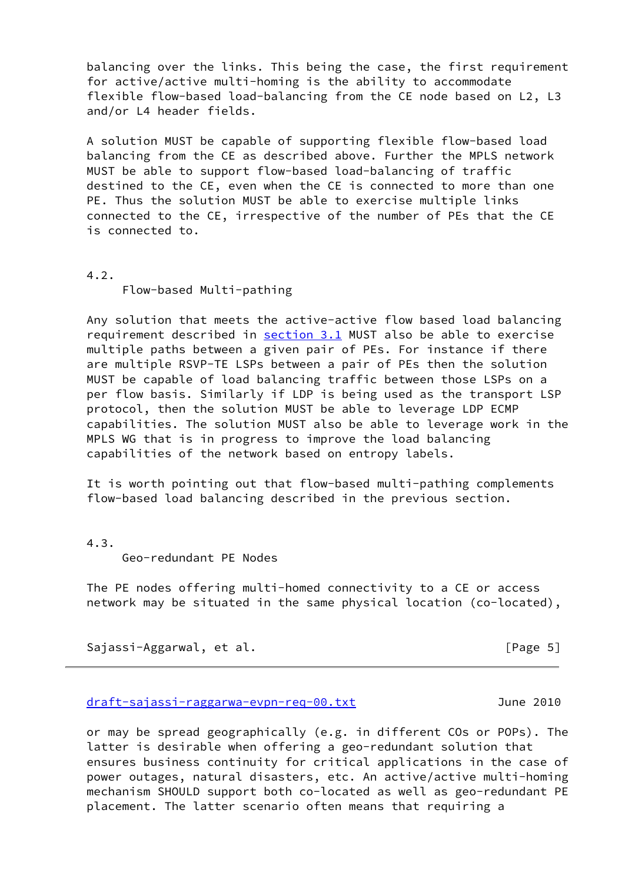balancing over the links. This being the case, the first requirement for active/active multi-homing is the ability to accommodate flexible flow-based load-balancing from the CE node based on L2, L3 and/or L4 header fields.

 A solution MUST be capable of supporting flexible flow-based load balancing from the CE as described above. Further the MPLS network MUST be able to support flow-based load-balancing of traffic destined to the CE, even when the CE is connected to more than one PE. Thus the solution MUST be able to exercise multiple links connected to the CE, irrespective of the number of PEs that the CE is connected to.

4.2.

Flow-based Multi-pathing

 Any solution that meets the active-active flow based load balancing requirement described in section 3.1 MUST also be able to exercise multiple paths between a given pair of PEs. For instance if there are multiple RSVP-TE LSPs between a pair of PEs then the solution MUST be capable of load balancing traffic between those LSPs on a per flow basis. Similarly if LDP is being used as the transport LSP protocol, then the solution MUST be able to leverage LDP ECMP capabilities. The solution MUST also be able to leverage work in the MPLS WG that is in progress to improve the load balancing capabilities of the network based on entropy labels.

 It is worth pointing out that flow-based multi-pathing complements flow-based load balancing described in the previous section.

4.3.

Geo-redundant PE Nodes

 The PE nodes offering multi-homed connectivity to a CE or access network may be situated in the same physical location (co-located),

Sajassi-Aggarwal, et al. [Page 5]

#### <span id="page-5-0"></span>[draft-sajassi-raggarwa-evpn-req-00.txt](https://datatracker.ietf.org/doc/pdf/draft-sajassi-raggarwa-evpn-req-00.txt) June 2010

 or may be spread geographically (e.g. in different COs or POPs). The latter is desirable when offering a geo-redundant solution that ensures business continuity for critical applications in the case of power outages, natural disasters, etc. An active/active multi-homing mechanism SHOULD support both co-located as well as geo-redundant PE placement. The latter scenario often means that requiring a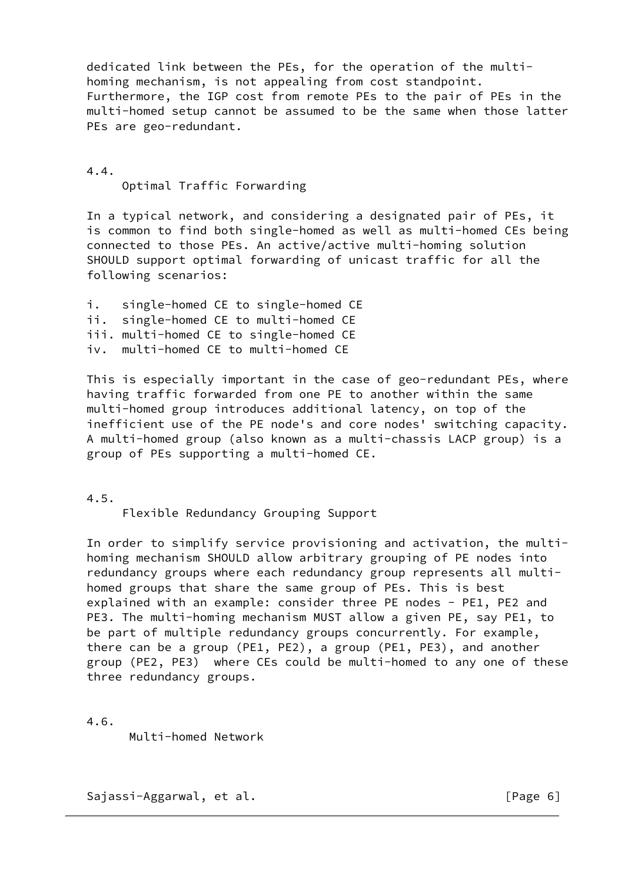dedicated link between the PEs, for the operation of the multi homing mechanism, is not appealing from cost standpoint. Furthermore, the IGP cost from remote PEs to the pair of PEs in the multi-homed setup cannot be assumed to be the same when those latter PEs are geo-redundant.

 4.4. Optimal Traffic Forwarding

 In a typical network, and considering a designated pair of PEs, it is common to find both single-homed as well as multi-homed CEs being connected to those PEs. An active/active multi-homing solution SHOULD support optimal forwarding of unicast traffic for all the following scenarios:

 i. single-homed CE to single-homed CE ii. single-homed CE to multi-homed CE iii. multi-homed CE to single-homed CE iv. multi-homed CE to multi-homed CE

 This is especially important in the case of geo-redundant PEs, where having traffic forwarded from one PE to another within the same multi-homed group introduces additional latency, on top of the inefficient use of the PE node's and core nodes' switching capacity. A multi-homed group (also known as a multi-chassis LACP group) is a group of PEs supporting a multi-homed CE.

4.5.

Flexible Redundancy Grouping Support

 In order to simplify service provisioning and activation, the multi homing mechanism SHOULD allow arbitrary grouping of PE nodes into redundancy groups where each redundancy group represents all multi homed groups that share the same group of PEs. This is best explained with an example: consider three PE nodes - PE1, PE2 and PE3. The multi-homing mechanism MUST allow a given PE, say PE1, to be part of multiple redundancy groups concurrently. For example, there can be a group (PE1, PE2), a group (PE1, PE3), and another group (PE2, PE3) where CEs could be multi-homed to any one of these three redundancy groups.

4.6.

Multi-homed Network

Sajassi-Aggarwal, et al. [Page 6]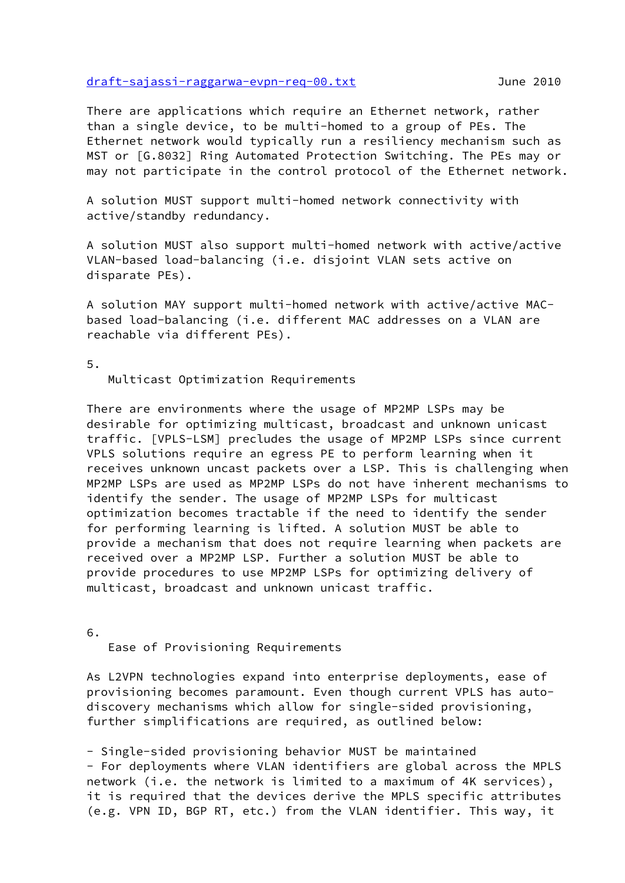#### <span id="page-7-0"></span>[draft-sajassi-raggarwa-evpn-req-00.txt](https://datatracker.ietf.org/doc/pdf/draft-sajassi-raggarwa-evpn-req-00.txt) June 2010

 There are applications which require an Ethernet network, rather than a single device, to be multi-homed to a group of PEs. The Ethernet network would typically run a resiliency mechanism such as MST or [G.8032] Ring Automated Protection Switching. The PEs may or may not participate in the control protocol of the Ethernet network.

 A solution MUST support multi-homed network connectivity with active/standby redundancy.

 A solution MUST also support multi-homed network with active/active VLAN-based load-balancing (i.e. disjoint VLAN sets active on disparate PEs).

 A solution MAY support multi-homed network with active/active MAC based load-balancing (i.e. different MAC addresses on a VLAN are reachable via different PEs).

5.

Multicast Optimization Requirements

 There are environments where the usage of MP2MP LSPs may be desirable for optimizing multicast, broadcast and unknown unicast traffic. [VPLS-LSM] precludes the usage of MP2MP LSPs since current VPLS solutions require an egress PE to perform learning when it receives unknown uncast packets over a LSP. This is challenging when MP2MP LSPs are used as MP2MP LSPs do not have inherent mechanisms to identify the sender. The usage of MP2MP LSPs for multicast optimization becomes tractable if the need to identify the sender for performing learning is lifted. A solution MUST be able to provide a mechanism that does not require learning when packets are received over a MP2MP LSP. Further a solution MUST be able to provide procedures to use MP2MP LSPs for optimizing delivery of multicast, broadcast and unknown unicast traffic.

6.

Ease of Provisioning Requirements

 As L2VPN technologies expand into enterprise deployments, ease of provisioning becomes paramount. Even though current VPLS has auto discovery mechanisms which allow for single-sided provisioning, further simplifications are required, as outlined below:

 - Single-sided provisioning behavior MUST be maintained - For deployments where VLAN identifiers are global across the MPLS network (i.e. the network is limited to a maximum of 4K services), it is required that the devices derive the MPLS specific attributes (e.g. VPN ID, BGP RT, etc.) from the VLAN identifier. This way, it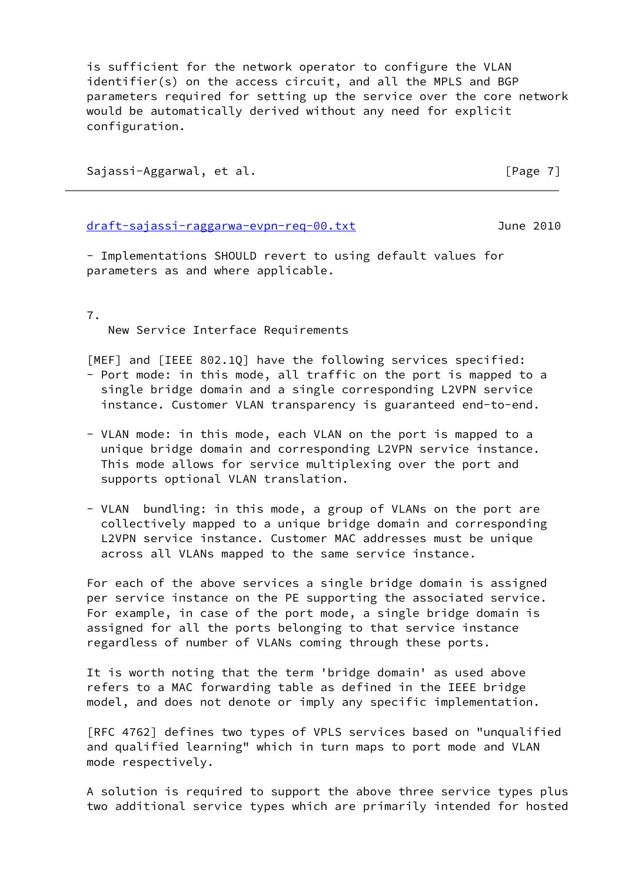is sufficient for the network operator to configure the VLAN identifier(s) on the access circuit, and all the MPLS and BGP parameters required for setting up the service over the core network would be automatically derived without any need for explicit configuration.

Sajassi-Aggarwal, et al. [Page 7]

<span id="page-8-0"></span>[draft-sajassi-raggarwa-evpn-req-00.txt](https://datatracker.ietf.org/doc/pdf/draft-sajassi-raggarwa-evpn-req-00.txt) June 2010

 - Implementations SHOULD revert to using default values for parameters as and where applicable.

7.

New Service Interface Requirements

[MEF] and [IEEE 802.1Q] have the following services specified:

- Port mode: in this mode, all traffic on the port is mapped to a single bridge domain and a single corresponding L2VPN service instance. Customer VLAN transparency is guaranteed end-to-end.
- VLAN mode: in this mode, each VLAN on the port is mapped to a unique bridge domain and corresponding L2VPN service instance. This mode allows for service multiplexing over the port and supports optional VLAN translation.
- VLAN bundling: in this mode, a group of VLANs on the port are collectively mapped to a unique bridge domain and corresponding L2VPN service instance. Customer MAC addresses must be unique across all VLANs mapped to the same service instance.

For each of the above services a single bridge domain is assigned per service instance on the PE supporting the associated service. For example, in case of the port mode, a single bridge domain is assigned for all the ports belonging to that service instance regardless of number of VLANs coming through these ports.

It is worth noting that the term 'bridge domain' as used above refers to a MAC forwarding table as defined in the IEEE bridge model, and does not denote or imply any specific implementation.

 [RFC 4762] defines two types of VPLS services based on "unqualified and qualified learning" which in turn maps to port mode and VLAN mode respectively.

 A solution is required to support the above three service types plus two additional service types which are primarily intended for hosted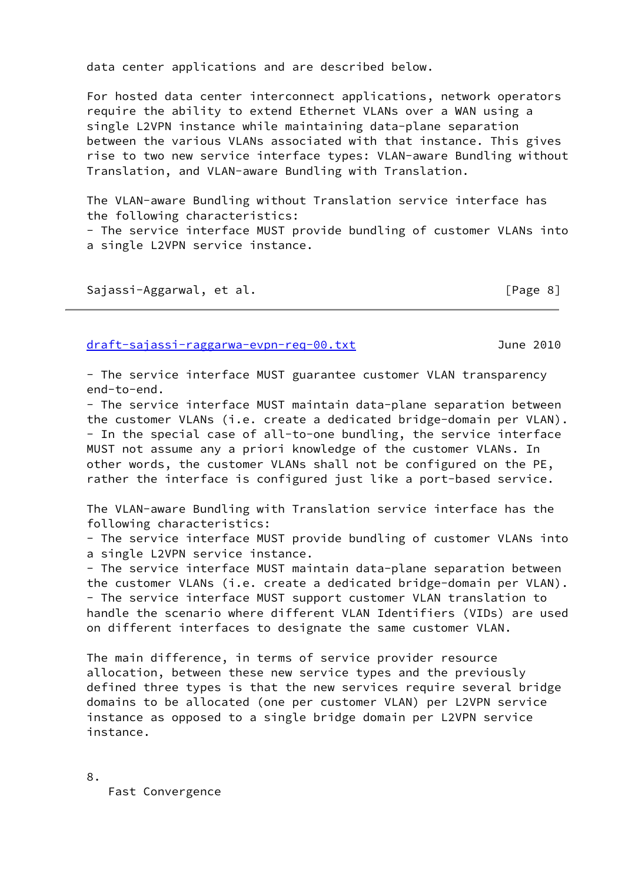data center applications and are described below.

 For hosted data center interconnect applications, network operators require the ability to extend Ethernet VLANs over a WAN using a single L2VPN instance while maintaining data-plane separation between the various VLANs associated with that instance. This gives rise to two new service interface types: VLAN-aware Bundling without Translation, and VLAN-aware Bundling with Translation.

 The VLAN-aware Bundling without Translation service interface has the following characteristics:

 - The service interface MUST provide bundling of customer VLANs into a single L2VPN service instance.

Sajassi-Aggarwal, et al. [Page 8]

<span id="page-9-0"></span>[draft-sajassi-raggarwa-evpn-req-00.txt](https://datatracker.ietf.org/doc/pdf/draft-sajassi-raggarwa-evpn-req-00.txt) June 2010

 - The service interface MUST guarantee customer VLAN transparency end-to-end.

 - The service interface MUST maintain data-plane separation between the customer VLANs (i.e. create a dedicated bridge-domain per VLAN). - In the special case of all-to-one bundling, the service interface MUST not assume any a priori knowledge of the customer VLANs. In other words, the customer VLANs shall not be configured on the PE, rather the interface is configured just like a port-based service.

 The VLAN-aware Bundling with Translation service interface has the following characteristics:

 - The service interface MUST provide bundling of customer VLANs into a single L2VPN service instance.

 - The service interface MUST maintain data-plane separation between the customer VLANs (i.e. create a dedicated bridge-domain per VLAN). - The service interface MUST support customer VLAN translation to handle the scenario where different VLAN Identifiers (VIDs) are used on different interfaces to designate the same customer VLAN.

 The main difference, in terms of service provider resource allocation, between these new service types and the previously defined three types is that the new services require several bridge domains to be allocated (one per customer VLAN) per L2VPN service instance as opposed to a single bridge domain per L2VPN service instance.

8.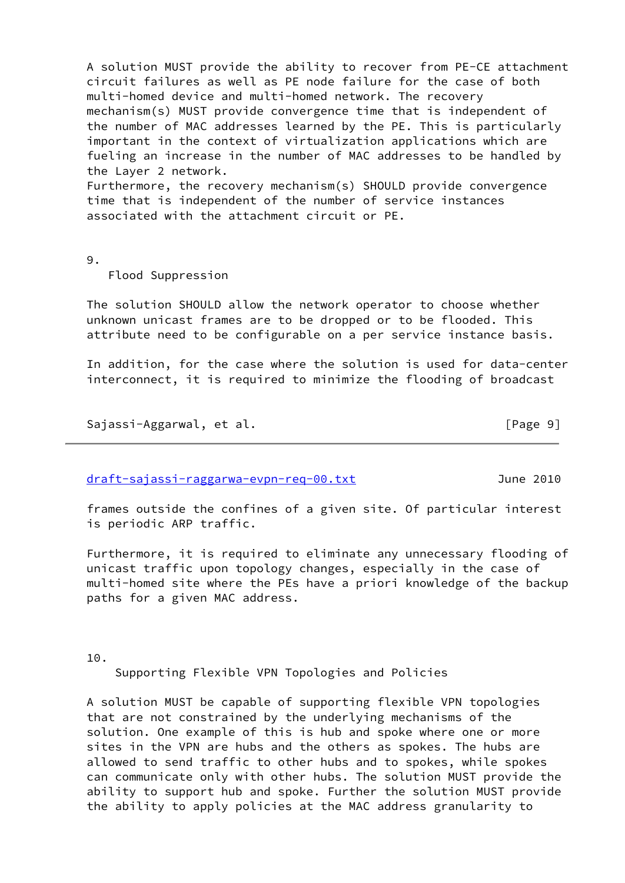A solution MUST provide the ability to recover from PE-CE attachment circuit failures as well as PE node failure for the case of both multi-homed device and multi-homed network. The recovery mechanism(s) MUST provide convergence time that is independent of the number of MAC addresses learned by the PE. This is particularly important in the context of virtualization applications which are fueling an increase in the number of MAC addresses to be handled by the Layer 2 network. Furthermore, the recovery mechanism(s) SHOULD provide convergence time that is independent of the number of service instances associated with the attachment circuit or PE.

9.

Flood Suppression

 The solution SHOULD allow the network operator to choose whether unknown unicast frames are to be dropped or to be flooded. This attribute need to be configurable on a per service instance basis.

 In addition, for the case where the solution is used for data-center interconnect, it is required to minimize the flooding of broadcast

Sajassi-Aggarwal, et al. [Page 9]

<span id="page-10-0"></span>[draft-sajassi-raggarwa-evpn-req-00.txt](https://datatracker.ietf.org/doc/pdf/draft-sajassi-raggarwa-evpn-req-00.txt) June 2010

 frames outside the confines of a given site. Of particular interest is periodic ARP traffic.

 Furthermore, it is required to eliminate any unnecessary flooding of unicast traffic upon topology changes, especially in the case of multi-homed site where the PEs have a priori knowledge of the backup paths for a given MAC address.

10.

Supporting Flexible VPN Topologies and Policies

 A solution MUST be capable of supporting flexible VPN topologies that are not constrained by the underlying mechanisms of the solution. One example of this is hub and spoke where one or more sites in the VPN are hubs and the others as spokes. The hubs are allowed to send traffic to other hubs and to spokes, while spokes can communicate only with other hubs. The solution MUST provide the ability to support hub and spoke. Further the solution MUST provide the ability to apply policies at the MAC address granularity to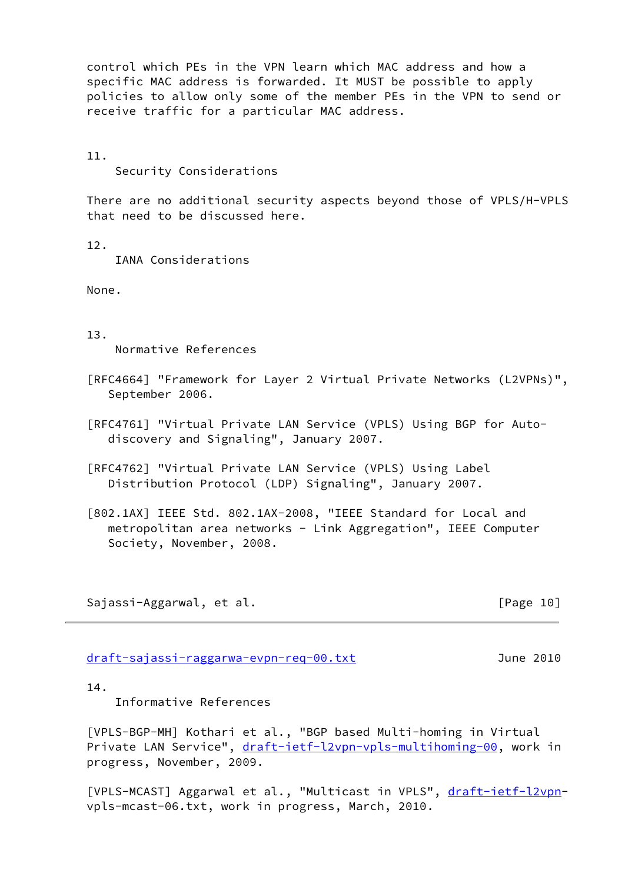control which PEs in the VPN learn which MAC address and how a specific MAC address is forwarded. It MUST be possible to apply policies to allow only some of the member PEs in the VPN to send or receive traffic for a particular MAC address.

11.

Security Considerations

 There are no additional security aspects beyond those of VPLS/H-VPLS that need to be discussed here.

12.

IANA Considerations

None.

13.

Normative References

- [RFC4664] "Framework for Layer 2 Virtual Private Networks (L2VPNs)", September 2006.
- [RFC4761] "Virtual Private LAN Service (VPLS) Using BGP for Auto discovery and Signaling", January 2007.

 [RFC4762] "Virtual Private LAN Service (VPLS) Using Label Distribution Protocol (LDP) Signaling", January 2007.

<span id="page-11-3"></span> [802.1AX] IEEE Std. 802.1AX-2008, "IEEE Standard for Local and metropolitan area networks - Link Aggregation", IEEE Computer Society, November, 2008.

Sajassi-Aggarwal, et al. [Page 10]

<span id="page-11-0"></span>[draft-sajassi-raggarwa-evpn-req-00.txt](https://datatracker.ietf.org/doc/pdf/draft-sajassi-raggarwa-evpn-req-00.txt) June 2010

14.

Informative References

<span id="page-11-1"></span> [VPLS-BGP-MH] Kothari et al., "BGP based Multi-homing in Virtual Private LAN Service", [draft-ietf-l2vpn-vpls-multihoming-00](https://datatracker.ietf.org/doc/pdf/draft-ietf-l2vpn-vpls-multihoming-00), work in progress, November, 2009.

<span id="page-11-2"></span>[VPLS-MCAST] Aggarwal et al., "Multicast in VPLS", [draft-ietf-l2vpn](https://datatracker.ietf.org/doc/pdf/draft-ietf-l2vpn) vpls-mcast-06.txt, work in progress, March, 2010.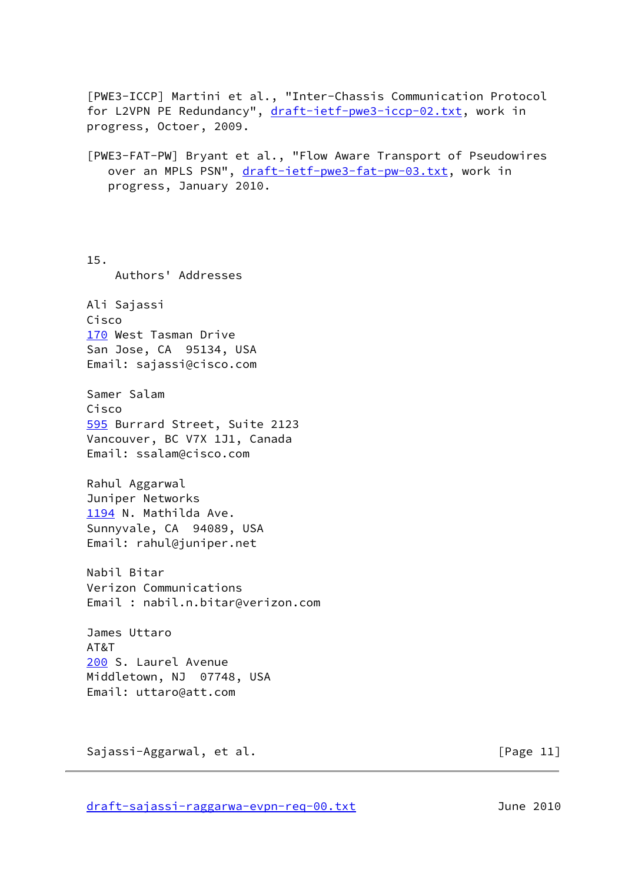<span id="page-12-1"></span><span id="page-12-0"></span> [PWE3-ICCP] Martini et al., "Inter-Chassis Communication Protocol for L2VPN PE Redundancy", [draft-ietf-pwe3-iccp-02.txt](https://datatracker.ietf.org/doc/pdf/draft-ietf-pwe3-iccp-02.txt), work in progress, Octoer, 2009. [PWE3-FAT-PW] Bryant et al., "Flow Aware Transport of Pseudowires over an MPLS PSN", [draft-ietf-pwe3-fat-pw-03.txt,](https://datatracker.ietf.org/doc/pdf/draft-ietf-pwe3-fat-pw-03.txt) work in progress, January 2010. 15. Authors' Addresses Ali Sajassi Cisco [170](#page-12-1) West Tasman Drive San Jose, CA 95134, USA Email: sajassi@cisco.com Samer Salam Cisco [595](#page-12-2) Burrard Street, Suite 2123 Vancouver, BC V7X 1J1, Canada Email: ssalam@cisco.com Rahul Aggarwal Juniper Networks [1194](#page-12-3) N. Mathilda Ave. Sunnyvale, CA 94089, USA Email: rahul@juniper.net Nabil Bitar Verizon Communications Email : nabil.n.bitar@verizon.com James Uttaro AT&T [200](#page-12-4) S. Laurel Avenue Middletown, NJ 07748, USA Email: uttaro@att.com

<span id="page-12-4"></span><span id="page-12-3"></span><span id="page-12-2"></span>Sajassi-Aggarwal, et al. [Page 11]